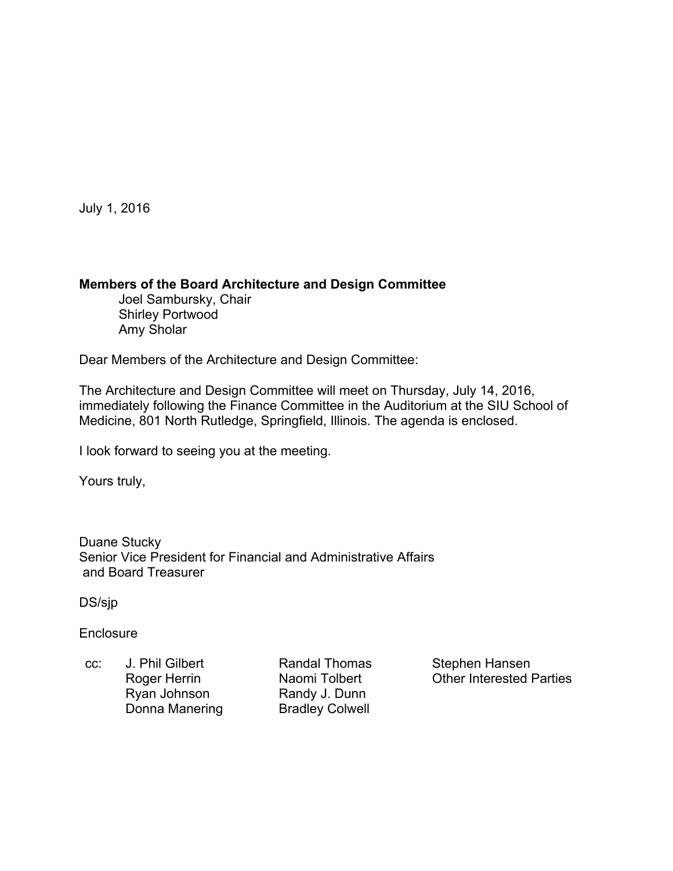July 1, 2016

#### **Members of the Board Architecture and Design Committee**

 Joel Sambursky, Chair Shirley Portwood Amy Sholar

Dear Members of the Architecture and Design Committee:

The Architecture and Design Committee will meet on Thursday, July 14, 2016, immediately following the Finance Committee in the Auditorium at the SIU School of Medicine, 801 North Rutledge, Springfield, Illinois. The agenda is enclosed.

I look forward to seeing you at the meeting.

Yours truly,

Duane Stucky Senior Vice President for Financial and Administrative Affairs and Board Treasurer

DS/sjp

**Enclosure** 

cc: J. Phil Gilbert **Randal Thomas** Stephen Hansen Ryan Johnson **Randy J. Dunn**<br>
Donna Manering **Bradley Colwell** Donna Manering

Roger Herrin Maomi Tolbert Cher Interested Parties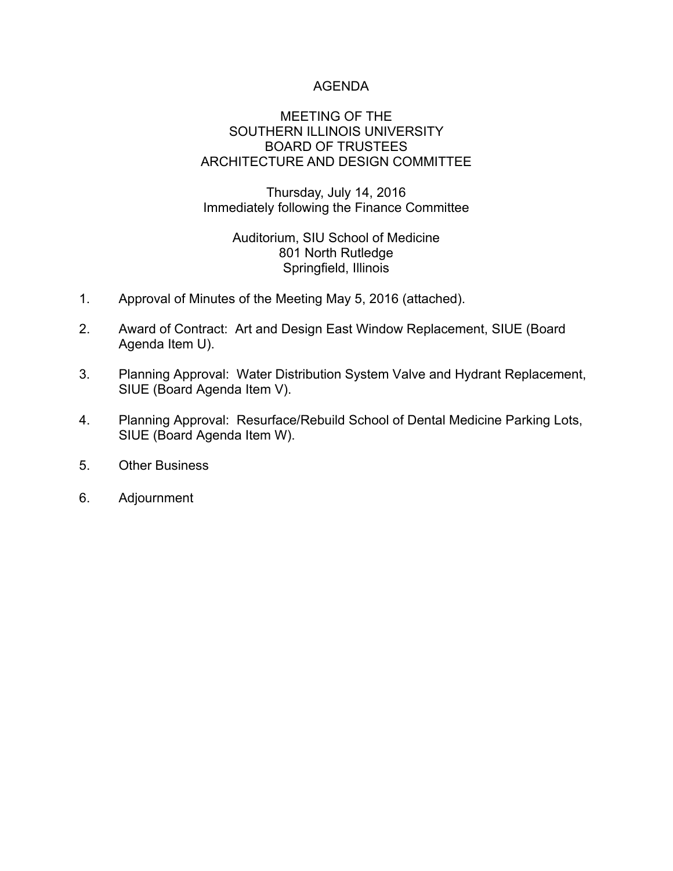# AGENDA

### MEETING OF THE SOUTHERN ILLINOIS UNIVERSITY BOARD OF TRUSTEES ARCHITECTURE AND DESIGN COMMITTEE

Thursday, July 14, 2016 Immediately following the Finance Committee

# Auditorium, SIU School of Medicine 801 North Rutledge Springfield, Illinois

- 1. Approval of Minutes of the Meeting May 5, 2016 (attached).
- 2. Award of Contract: Art and Design East Window Replacement, SIUE (Board Agenda Item U).
- 3. Planning Approval: Water Distribution System Valve and Hydrant Replacement, SIUE (Board Agenda Item V).
- 4. Planning Approval: Resurface/Rebuild School of Dental Medicine Parking Lots, SIUE (Board Agenda Item W).
- 5. Other Business
- 6. Adjournment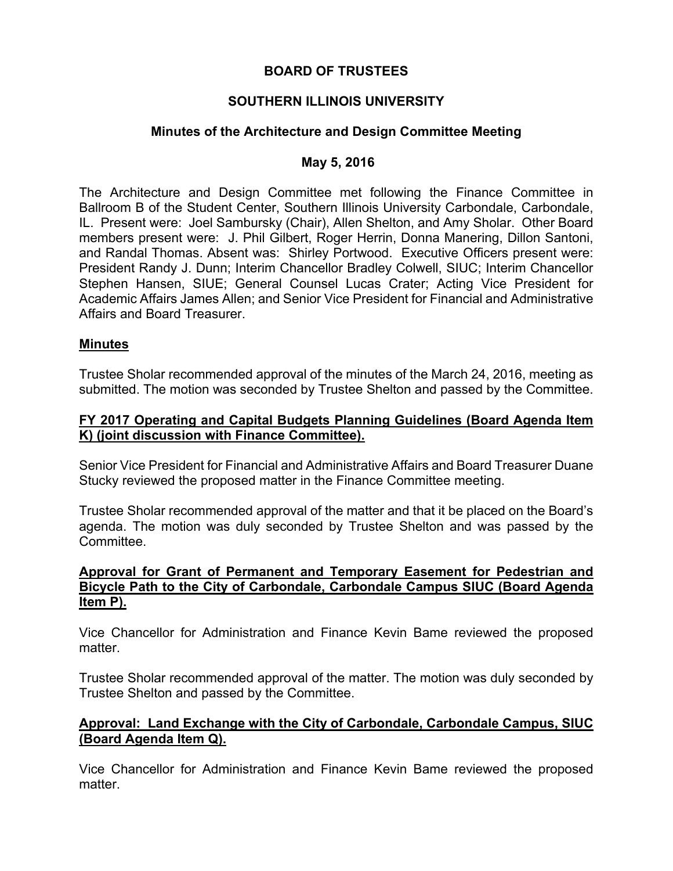## **BOARD OF TRUSTEES**

# **SOUTHERN ILLINOIS UNIVERSITY**

# **Minutes of the Architecture and Design Committee Meeting**

## **May 5, 2016**

The Architecture and Design Committee met following the Finance Committee in Ballroom B of the Student Center, Southern Illinois University Carbondale, Carbondale, IL. Present were: Joel Sambursky (Chair), Allen Shelton, and Amy Sholar. Other Board members present were: J. Phil Gilbert, Roger Herrin, Donna Manering, Dillon Santoni, and Randal Thomas. Absent was: Shirley Portwood. Executive Officers present were: President Randy J. Dunn; Interim Chancellor Bradley Colwell, SIUC; Interim Chancellor Stephen Hansen, SIUE; General Counsel Lucas Crater; Acting Vice President for Academic Affairs James Allen; and Senior Vice President for Financial and Administrative Affairs and Board Treasurer.

#### **Minutes**

Trustee Sholar recommended approval of the minutes of the March 24, 2016, meeting as submitted. The motion was seconded by Trustee Shelton and passed by the Committee.

#### **FY 2017 Operating and Capital Budgets Planning Guidelines (Board Agenda Item K) (joint discussion with Finance Committee).**

Senior Vice President for Financial and Administrative Affairs and Board Treasurer Duane Stucky reviewed the proposed matter in the Finance Committee meeting.

Trustee Sholar recommended approval of the matter and that it be placed on the Board's agenda. The motion was duly seconded by Trustee Shelton and was passed by the Committee.

#### **Approval for Grant of Permanent and Temporary Easement for Pedestrian and Bicycle Path to the City of Carbondale, Carbondale Campus SIUC (Board Agenda Item P).**

Vice Chancellor for Administration and Finance Kevin Bame reviewed the proposed matter.

Trustee Sholar recommended approval of the matter. The motion was duly seconded by Trustee Shelton and passed by the Committee.

## **Approval: Land Exchange with the City of Carbondale, Carbondale Campus, SIUC (Board Agenda Item Q).**

Vice Chancellor for Administration and Finance Kevin Bame reviewed the proposed matter.